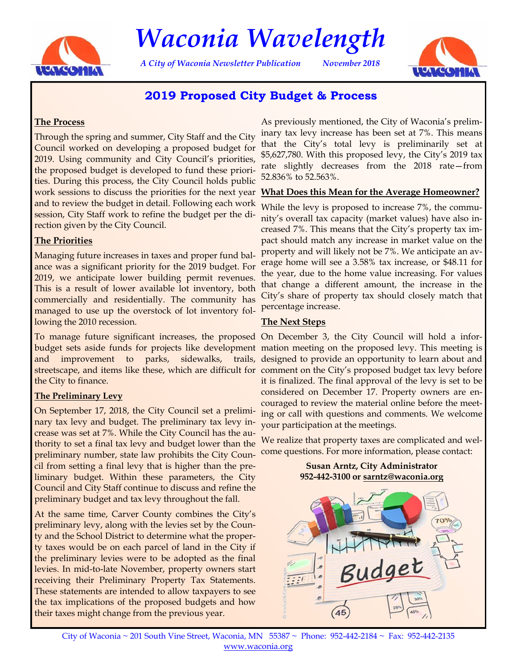

# *Waconia Wavelength*

*A City of Waconia Newsletter Publication November 2018* 



# **2019 Proposed City Budget & Process**

#### **The Process**

Through the spring and summer, City Staff and the City Council worked on developing a proposed budget for 2019. Using community and City Council's priorities, the proposed budget is developed to fund these priorities. During this process, the City Council holds public work sessions to discuss the priorities for the next year and to review the budget in detail. Following each work session, City Staff work to refine the budget per the direction given by the City Council.

#### **The Priorities**

Managing future increases in taxes and proper fund balance was a significant priority for the 2019 budget. For 2019, we anticipate lower building permit revenues. This is a result of lower available lot inventory, both commercially and residentially. The community has managed to use up the overstock of lot inventory following the 2010 recession.

To manage future significant increases, the proposed On December 3, the City Council will hold a inforand improvement to parks, sidewalks, the City to finance.

#### **The Preliminary Levy**

On September 17, 2018, the City Council set a preliminary tax levy and budget. The preliminary tax levy increase was set at 7%. While the City Council has the authority to set a final tax levy and budget lower than the preliminary number, state law prohibits the City Council from setting a final levy that is higher than the preliminary budget. Within these parameters, the City Council and City Staff continue to discuss and refine the preliminary budget and tax levy throughout the fall.

At the same time, Carver County combines the City's preliminary levy, along with the levies set by the County and the School District to determine what the property taxes would be on each parcel of land in the City if the preliminary levies were to be adopted as the final levies. In mid-to-late November, property owners start receiving their Preliminary Property Tax Statements. These statements are intended to allow taxpayers to see the tax implications of the proposed budgets and how their taxes might change from the previous year.

As previously mentioned, the City of Waconia's preliminary tax levy increase has been set at 7%. This means that the City's total levy is preliminarily set at \$5,627,780. With this proposed levy, the City's 2019 tax rate slightly decreases from the 2018 rate—from 52.836% to 52.563%.

#### **What Does this Mean for the Average Homeowner?**

While the levy is proposed to increase 7%, the community's overall tax capacity (market values) have also increased 7%. This means that the City's property tax impact should match any increase in market value on the property and will likely not be 7%. We anticipate an average home will see a 3.58% tax increase, or \$48.11 for the year, due to the home value increasing. For values that change a different amount, the increase in the City's share of property tax should closely match that percentage increase.

#### **The Next Steps**

budget sets aside funds for projects like development mation meeting on the proposed levy. This meeting is streetscape, and items like these, which are difficult for comment on the City's proposed budget tax levy before trails, designed to provide an opportunity to learn about and it is finalized. The final approval of the levy is set to be considered on December 17. Property owners are encouraged to review the material online before the meeting or call with questions and comments. We welcome your participation at the meetings.

> We realize that property taxes are complicated and welcome questions. For more information, please contact:

> > **Susan Arntz, City Administrator**



City of Waconia ~ 201 South Vine Street, Waconia, MN 55387 ~ Phone: 952-442-2184 ~ Fax: 952-442-2135 www.waconia.org